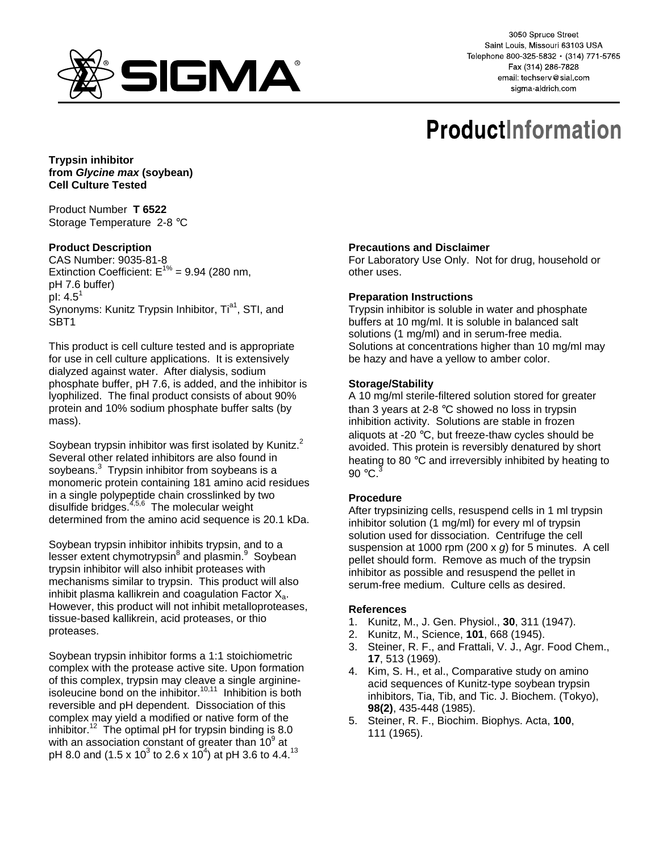

3050 Spruce Street Saint Louis, Missouri 63103 USA Telephone 800-325-5832 · (314) 771-5765 Fax (314) 286-7828 email: techserv@sial.com sigma-aldrich.com

# **ProductInformation**

**Trypsin inhibitor from Glycine max (soybean) Cell Culture Tested** 

Product Number **T 6522** Storage Temperature 2-8 °C

## **Product Description**

CAS Number: 9035-81-8 Extinction Coefficient:  $E^{1\%}$  = 9.94 (280 nm, pH 7.6 buffer) pl:  $4.5^1$ Synonyms: Kunitz Trypsin Inhibitor, Ti<sup>a1</sup>, STI, and SBT1

This product is cell culture tested and is appropriate for use in cell culture applications. It is extensively dialyzed against water. After dialysis, sodium phosphate buffer, pH 7.6, is added, and the inhibitor is lyophilized. The final product consists of about 90% protein and 10% sodium phosphate buffer salts (by mass).

Soybean trypsin inhibitor was first isolated by Kunitz. $2$ Several other related inhibitors are also found in soybeans.<sup>3</sup> Trypsin inhibitor from soybeans is a monomeric protein containing 181 amino acid residues in a single polypeptide chain crosslinked by two disulfide bridges.<sup>4,5,6</sup> The molecular weight determined from the amino acid sequence is 20.1 kDa.

Soybean trypsin inhibitor inhibits trypsin, and to a lesser extent chymotrypsin<sup>8</sup> and plasmin.<sup>9</sup> Soybean trypsin inhibitor will also inhibit proteases with mechanisms similar to trypsin. This product will also inhibit plasma kallikrein and coagulation Factor  $X_{a}$ . However, this product will not inhibit metalloproteases, tissue-based kallikrein, acid proteases, or thio proteases.

Soybean trypsin inhibitor forms a 1:1 stoichiometric complex with the protease active site. Upon formation of this complex, trypsin may cleave a single arginineisoleucine bond on the inhibitor.<sup>10,11</sup> Inhibition is both reversible and pH dependent. Dissociation of this complex may yield a modified or native form of the inhibitor.<sup>12</sup> The optimal pH for trypsin binding is 8.0 with an association constant of greater than  $10^9$  at pH 8.0 and (1.5 x 10 $^3$  to 2.6 x 10 $^4$ ) at pH 3.6 to 4.4. $^{13}$ 

#### **Precautions and Disclaimer**

For Laboratory Use Only. Not for drug, household or other uses.

#### **Preparation Instructions**

Trypsin inhibitor is soluble in water and phosphate buffers at 10 mg/ml. It is soluble in balanced salt solutions (1 mg/ml) and in serum-free media. Solutions at concentrations higher than 10 mg/ml may be hazy and have a yellow to amber color.

#### **Storage/Stability**

A 10 mg/ml sterile-filtered solution stored for greater than 3 years at 2-8 °C showed no loss in trypsin inhibition activity. Solutions are stable in frozen aliquots at -20 °C, but freeze-thaw cycles should be avoided. This protein is reversibly denatured by short heating to 80 °C and irreversibly inhibited by heating to 90  $\degree$ C.<sup>3</sup>

### **Procedure**

After trypsinizing cells, resuspend cells in 1 ml trypsin inhibitor solution (1 mg/ml) for every ml of trypsin solution used for dissociation. Centrifuge the cell suspension at 1000 rpm (200 x g) for 5 minutes. A cell pellet should form. Remove as much of the trypsin inhibitor as possible and resuspend the pellet in serum-free medium. Culture cells as desired.

#### **References**

- 1. Kunitz, M., J. Gen. Physiol., **30**, 311 (1947).
- 2. Kunitz, M., Science, **101**, 668 (1945).
- 3. Steiner, R. F., and Frattali, V. J., Agr. Food Chem., **17**, 513 (1969).
- 4. Kim, S. H., et al., Comparative study on amino acid sequences of Kunitz-type soybean trypsin inhibitors, Tia, Tib, and Tic. J. Biochem. (Tokyo), **98(2)**, 435-448 (1985).
- 5. Steiner, R. F., Biochim. Biophys. Acta, **100**, 111 (1965).